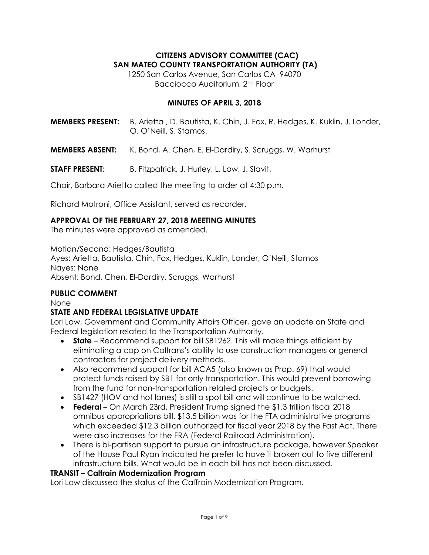## **CITIZENS ADVISORY COMMITTEE (CAC) SAN MATEO COUNTY TRANSPORTATION AUTHORITY (TA)**

1250 San Carlos Avenue, San Carlos CA 94070 Bacciocco Auditorium, 2nd Floor

### **MINUTES OF APRIL 3, 2018**

**MEMBERS PRESENT:** B. Arietta , D. Bautista, K. Chin, J. Fox, R. Hedges, K. Kuklin, J. Londer, O. O'Neill, S. Stamos.

- **MEMBERS ABSENT:** K. Bond, A. Chen, E. El-Dardiry, S. Scruggs, W. Warhurst
- **STAFF PRESENT:** B. Fitzpatrick, J. Hurley, L. Low, J. Slavit,

Chair, Barbara Arietta called the meeting to order at 4:30 p.m.

Richard Motroni, Office Assistant, served as recorder.

#### **APPROVAL OF THE FEBRUARY 27, 2018 MEETING MINUTES**

The minutes were approved as amended.

Motion/Second: Hedges/Bautista

Ayes: Arietta, Bautista, Chin, Fox, Hedges, Kuklin, Londer, O'Neill, Stamos Nayes: None Absent: Bond, Chen, El-Dardiry, Scruggs, Warhurst

### **PUBLIC COMMENT**

None

### **STATE AND FEDERAL LEGISLATIVE UPDATE**

Lori Low, Government and Community Affairs Officer, gave an update on State and Federal legislation related to the Transportation Authority.

- **State** Recommend support for bill SB1262. This will make things efficient by eliminating a cap on Caltrans's ability to use construction managers or general contractors for project delivery methods.
- Also recommend support for bill ACA5 (also known as Prop. 69) that would protect funds raised by SB1 for only transportation. This would prevent borrowing from the fund for non-transportation related projects or budgets.
- SB1427 (HOV and hot lanes) is still a spot bill and will continue to be watched.
- **Federal** On March 23rd, President Trump signed the \$1.3 trillion fiscal 2018 omnibus appropriations bill. \$13.5 billion was for the FTA administrative programs which exceeded \$12.3 billion authorized for fiscal year 2018 by the Fast Act. There were also increases for the FRA (Federal Railroad Administration).
- There is bi-partisan support to pursue an infrastructure package, however Speaker of the House Paul Ryan indicated he prefer to have it broken out to five different infrastructure bills. What would be in each bill has not been discussed.

#### **TRANSIT – Caltrain Modernization Program**

Lori Low discussed the status of the CalTrain Modernization Program.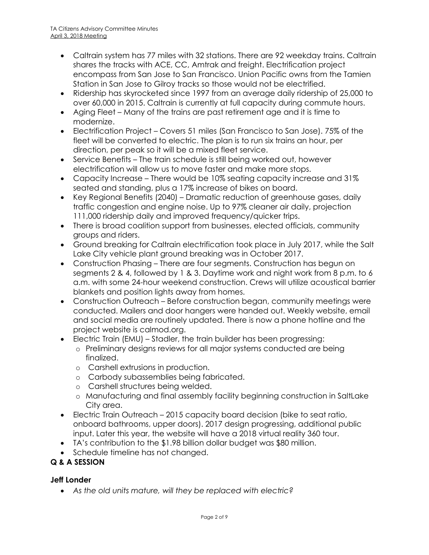- Caltrain system has 77 miles with 32 stations. There are 92 weekday trains. Caltrain shares the tracks with ACE, CC, Amtrak and freight. Electrification project encompass from San Jose to San Francisco. Union Pacific owns from the Tamien Station in San Jose to Gilroy tracks so those would not be electrified.
- Ridership has skyrocketed since 1997 from an average daily ridership of 25,000 to over 60,000 in 2015. Caltrain is currently at full capacity during commute hours.
- Aging Fleet Many of the trains are past retirement age and it is time to modernize.
- Electrification Project Covers 51 miles (San Francisco to San Jose). 75% of the fleet will be converted to electric. The plan is to run six trains an hour, per direction, per peak so it will be a mixed fleet service.
- Service Benefits The train schedule is still being worked out, however electrification will allow us to move faster and make more stops.
- Capacity Increase There would be 10% seating capacity increase and 31% seated and standing, plus a 17% increase of bikes on board.
- Key Regional Benefits (2040) Dramatic reduction of greenhouse gases, daily traffic congestion and engine noise. Up to 97% cleaner air daily, projection 111,000 ridership daily and improved frequency/quicker trips.
- There is broad coalition support from businesses, elected officials, community groups and riders.
- Ground breaking for Caltrain electrification took place in July 2017, while the Salt Lake City vehicle plant ground breaking was in October 2017.
- Construction Phasing There are four segments. Construction has begun on segments 2 & 4, followed by 1 & 3. Daytime work and night work from 8 p.m. to 6 a.m. with some 24-hour weekend construction. Crews will utilize acoustical barrier blankets and position lights away from homes.
- Construction Outreach Before construction began, community meetings were conducted. Mailers and door hangers were handed out. Weekly website, email and social media are routinely updated. There is now a phone hotline and the project website is calmod.org.
- Electric Train (EMU) Stadler, the train builder has been progressing:
	- o Preliminary designs reviews for all major systems conducted are being finalized.
	- o Carshell extrusions in production.
	- o Carbody subassemblies being fabricated.
	- o Carshell structures being welded.
	- o Manufacturing and final assembly facility beginning construction in SaltLake City area.
- Electric Train Outreach 2015 capacity board decision (bike to seat ratio, onboard bathrooms, upper doors). 2017 design progressing, additional public input. Later this year, the website will have a 2018 virtual reality 360 tour.
- TA's contribution to the \$1.98 billion dollar budget was \$80 million.
- Schedule timeline has not changed.

# **Q & A SESSION**

# **Jeff Londer**

*As the old units mature, will they be replaced with electric?*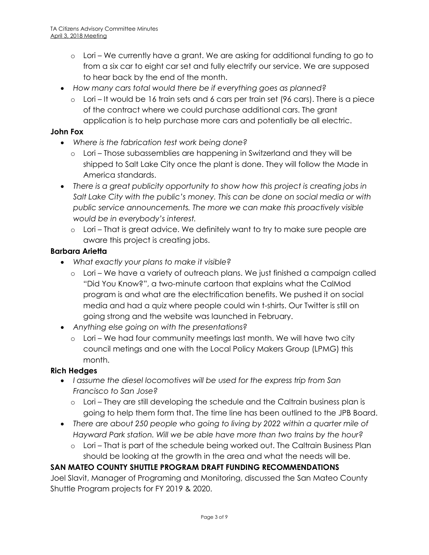- o Lori We currently have a grant. We are asking for additional funding to go to from a six car to eight car set and fully electrify our service. We are supposed to hear back by the end of the month.
- *How many cars total would there be if everything goes as planned?*
	- $\circ$  Lori It would be 16 train sets and 6 cars per train set (96 cars). There is a piece of the contract where we could purchase additional cars. The grant application is to help purchase more cars and potentially be all electric.

### **John Fox**

- *Where is the fabrication test work being done?*
	- o Lori Those subassemblies are happening in Switzerland and they will be shipped to Salt Lake City once the plant is done. They will follow the Made in America standards.
- *There is a great publicity opportunity to show how this project is creating jobs in Salt Lake City with the public's money. This can be done on social media or with public service announcements. The more we can make this proactively visible would be in everybody's interest.*
	- o Lori That is great advice. We definitely want to try to make sure people are aware this project is creating jobs.

### **Barbara Arietta**

- *What exactly your plans to make it visible?*
	- o Lori We have a variety of outreach plans. We just finished a campaign called "Did You Know?", a two-minute cartoon that explains what the CalMod program is and what are the electrification benefits. We pushed it on social media and had a quiz where people could win t-shirts. Our Twitter is still on going strong and the website was launched in February.
- *Anything else going on with the presentations?*
	- $\circ$  Lori We had four community meetings last month. We will have two city council metings and one with the Local Policy Makers Group (LPMG) this month.

### **Rich Hedges**

- *I assume the diesel locomotives will be used for the express trip from San Francisco to San Jose?*
	- o Lori They are still developing the schedule and the Caltrain business plan is going to help them form that. The time line has been outlined to the JPB Board.
- *There are about 250 people who going to living by 2022 within a quarter mile of Hayward Park station. Will we be able have more than two trains by the hour?*
	- o Lori That is part of the schedule being worked out. The Caltrain Business Plan should be looking at the growth in the area and what the needs will be.

# **SAN MATEO COUNTY SHUTTLE PROGRAM DRAFT FUNDING RECOMMENDATIONS**

Joel Slavit, Manager of Programing and Monitoring, discussed the San Mateo County Shuttle Program projects for FY 2019 & 2020.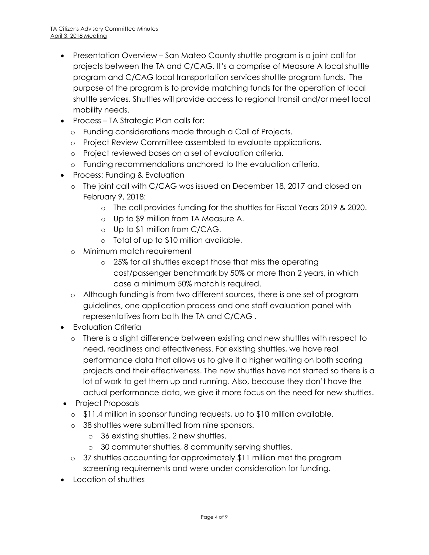- Presentation Overview San Mateo County shuttle program is a joint call for projects between the TA and C/CAG. It's a comprise of Measure A local shuttle program and C/CAG local transportation services shuttle program funds. The purpose of the program is to provide matching funds for the operation of local shuttle services. Shuttles will provide access to regional transit and/or meet local mobility needs.
- Process TA Strategic Plan calls for:
	- o Funding considerations made through a Call of Projects.
	- o Project Review Committee assembled to evaluate applications.
	- o Project reviewed bases on a set of evaluation criteria.
	- o Funding recommendations anchored to the evaluation criteria.
- Process: Funding & Evaluation
	- o The joint call with C/CAG was issued on December 18, 2017 and closed on February 9, 2018:
		- o The call provides funding for the shuttles for Fiscal Years 2019 & 2020.
		- o Up to \$9 million from TA Measure A.
		- o Up to \$1 million from C/CAG.
		- o Total of up to \$10 million available.
	- o Minimum match requirement
		- o 25% for all shuttles except those that miss the operating cost/passenger benchmark by 50% or more than 2 years, in which case a minimum 50% match is required.
	- o Although funding is from two different sources, there is one set of program guidelines, one application process and one staff evaluation panel with representatives from both the TA and C/CAG .
- Evaluation Criteria
	- o There is a slight difference between existing and new shuttles with respect to need, readiness and effectiveness. For existing shuttles, we have real performance data that allows us to give it a higher waiting on both scoring projects and their effectiveness. The new shuttles have not started so there is a lot of work to get them up and running. Also, because they don't have the actual performance data, we give it more focus on the need for new shuttles.
- Project Proposals
	- o \$11.4 million in sponsor funding requests, up to \$10 million available.
	- o 38 shuttles were submitted from nine sponsors.
		- o 36 existing shuttles, 2 new shuttles.
		- o 30 commuter shuttles, 8 community serving shuttles.
	- o 37 shuttles accounting for approximately \$11 million met the program screening requirements and were under consideration for funding.
- Location of shuttles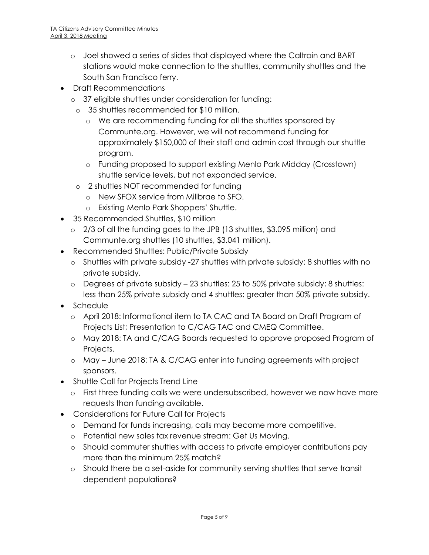- o Joel showed a series of slides that displayed where the Caltrain and BART stations would make connection to the shuttles, community shuttles and the South San Francisco ferry.
- Draft Recommendations
	- o 37 eligible shuttles under consideration for funding:
		- o 35 shuttles recommended for \$10 million.
			- o We are recommending funding for all the shuttles sponsored by Communte.org. However, we will not recommend funding for approximately \$150,000 of their staff and admin cost through our shuttle program.
			- o Funding proposed to support existing Menlo Park Midday (Crosstown) shuttle service levels, but not expanded service.
		- o 2 shuttles NOT recommended for funding
			- o New SFOX service from Millbrae to SFO.
			- o Existing Menlo Park Shoppers' Shuttle.
- 35 Recommended Shuttles, \$10 million
	- o 2/3 of all the funding goes to the JPB (13 shuttles, \$3.095 million) and Communte.org shuttles (10 shuttles, \$3.041 million).
- Recommended Shuttles: Public/Private Subsidy
	- o Shuttles with private subsidy -27 shuttles with private subsidy: 8 shuttles with no private subsidy.
	- o Degrees of private subsidy 23 shuttles: 25 to 50% private subsidy; 8 shuttles: less than 25% private subsidy and 4 shuttles: greater than 50% private subsidy.
- Schedule
	- o April 2018: Informational item to TA CAC and TA Board on Draft Program of Projects List; Presentation to C/CAG TAC and CMEQ Committee.
	- o May 2018: TA and C/CAG Boards requested to approve proposed Program of Projects.
	- o May June 2018: TA & C/CAG enter into funding agreements with project sponsors.
- Shuttle Call for Projects Trend Line
	- o First three funding calls we were undersubscribed, however we now have more requests than funding available.
- Considerations for Future Call for Projects
	- o Demand for funds increasing, calls may become more competitive.
	- o Potential new sales tax revenue stream: Get Us Moving.
	- o Should commuter shuttles with access to private employer contributions pay more than the minimum 25% match?
	- o Should there be a set-aside for community serving shuttles that serve transit dependent populations?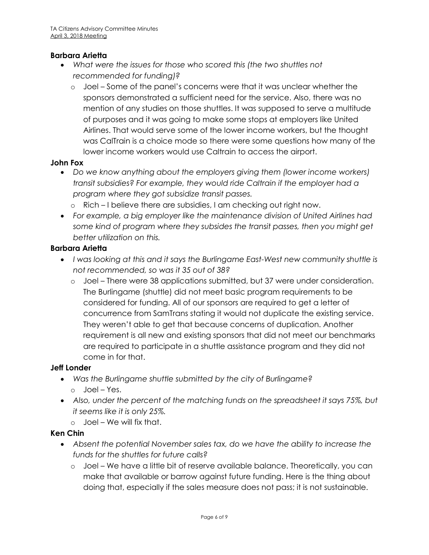### **Barbara Arietta**

- *What were the issues for those who scored this (the two shuttles not recommended for funding)?*
	- o Joel Some of the panel's concerns were that it was unclear whether the sponsors demonstrated a sufficient need for the service. Also, there was no mention of any studies on those shuttles. It was supposed to serve a multitude of purposes and it was going to make some stops at employers like United Airlines. That would serve some of the lower income workers, but the thought was CalTrain is a choice mode so there were some questions how many of the lower income workers would use Caltrain to access the airport.

#### **John Fox**

- *Do we know anything about the employers giving them (lower income workers) transit subsidies? For example, they would ride Caltrain if the employer had a program where they got subsidize transit passes.* 
	- o Rich I believe there are subsidies, I am checking out right now.
- *For example, a big employer like the maintenance division of United Airlines had some kind of program where they subsides the transit passes, then you might get better utilization on this.*

#### **Barbara Arietta**

- *I was looking at this and it says the Burlingame East-West new community shuttle is not recommended, so was it 35 out of 38?*
	- Joel There were 38 applications submitted, but 37 were under consideration. The Burlingame (shuttle) did not meet basic program requirements to be considered for funding. All of our sponsors are required to get a letter of concurrence from SamTrans stating it would not duplicate the existing service. They weren't able to get that because concerns of duplication. Another requirement is all new and existing sponsors that did not meet our benchmarks are required to participate in a shuttle assistance program and they did not come in for that.

#### **Jeff Londer**

- *Was the Burlingame shuttle submitted by the city of Burlingame?*
	- o Joel Yes.
- *Also, under the percent of the matching funds on the spreadsheet it says 75%, but it seems like it is only 25%.*
	- o Joel We will fix that.

#### **Ken Chin**

- *Absent the potential November sales tax, do we have the ability to increase the funds for the shuttles for future calls?*
	- o Joel We have a little bit of reserve available balance. Theoretically, you can make that available or barrow against future funding. Here is the thing about doing that, especially if the sales measure does not pass; it is not sustainable.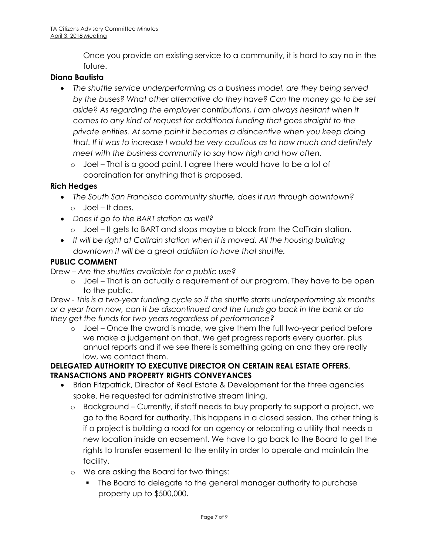Once you provide an existing service to a community, it is hard to say no in the future.

## **Diana Bautista**

- *The shuttle service underperforming as a business model, are they being served by the buses? What other alternative do they have? Can the money go to be set*  aside? As regarding the employer contributions, I am always hesitant when it *comes to any kind of request for additional funding that goes straight to the private entities. At some point it becomes a disincentive when you keep doing that. If it was to increase I would be very cautious as to how much and definitely meet with the business community to say how high and how often.* 
	- o Joel That is a good point. I agree there would have to be a lot of coordination for anything that is proposed.

### **Rich Hedges**

- *The South San Francisco community shuttle, does it run through downtown?* o Joel – It does.
- *Does it go to the BART station as well?*
	- o Joel It gets to BART and stops maybe a block from the CalTrain station.
- *It will be right at Caltrain station when it is moved. All the housing building downtown it will be a great addition to have that shuttle.*

### **PUBLIC COMMENT**

Drew – *Are the shuttles available for a public use?*

o Joel – That is an actually a requirement of our program. They have to be open to the public.

Drew *- This is a two-year funding cycle so if the shuttle starts underperforming six months or a year from now, can it be discontinued and the funds go back in the bank or do they get the funds for two years regardless of performance?*

o Joel – Once the award is made, we give them the full two-year period before we make a judgement on that. We get progress reports every quarter, plus annual reports and if we see there is something going on and they are really low, we contact them.

### **DELEGATED AUTHORITY TO EXECUTIVE DIRECTOR ON CERTAIN REAL ESTATE OFFERS, TRANSACTIONS AND PROPERTY RIGHTS CONVEYANCES**

- Brian Fitzpatrick, Director of Real Estate & Development for the three agencies spoke. He requested for administrative stream lining.
	- o Background Currently, if staff needs to buy property to support a project, we go to the Board for authority. This happens in a closed session. The other thing is if a project is building a road for an agency or relocating a utility that needs a new location inside an easement. We have to go back to the Board to get the rights to transfer easement to the entity in order to operate and maintain the facility.
	- o We are asking the Board for two things:
		- The Board to delegate to the general manager authority to purchase property up to \$500,000.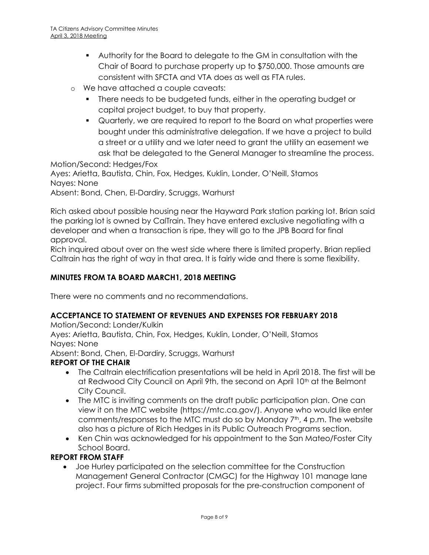- Authority for the Board to delegate to the GM in consultation with the Chair of Board to purchase property up to \$750,000. Those amounts are consistent with SFCTA and VTA does as well as FTA rules.
- o We have attached a couple caveats:
	- **There needs to be budgeted funds, either in the operating budget or** capital project budget, to buy that property.
	- Quarterly, we are required to report to the Board on what properties were bought under this administrative delegation. If we have a project to build a street or a utility and we later need to grant the utility an easement we ask that be delegated to the General Manager to streamline the process.

Motion/Second: Hedges/Fox

Ayes: Arietta, Bautista, Chin, Fox, Hedges, Kuklin, Londer, O'Neill, Stamos Nayes: None

Absent: Bond, Chen, El-Dardiry, Scruggs, Warhurst

Rich asked about possible housing near the Hayward Park station parking lot. Brian said the parking lot is owned by CalTrain. They have entered exclusive negotiating with a developer and when a transaction is ripe, they will go to the JPB Board for final approval.

Rich inquired about over on the west side where there is limited property. Brian replied Caltrain has the right of way in that area. It is fairly wide and there is some flexibility.

### **MINUTES FROM TA BOARD MARCH1, 2018 MEETING**

There were no comments and no recommendations.

### **ACCEPTANCE TO STATEMENT OF REVENUES AND EXPENSES FOR FEBRUARY 2018**

Motion/Second: Londer/Kulkin

Ayes: Arietta, Bautista, Chin, Fox, Hedges, Kuklin, Londer, O'Neill, Stamos Nayes: None

Absent: Bond, Chen, El-Dardiry, Scruggs, Warhurst

### **REPORT OF THE CHAIR**

- The Caltrain electrification presentations will be held in April 2018. The first will be at Redwood City Council on April 9th, the second on April 10<sup>th</sup> at the Belmont City Council.
- The MTC is inviting comments on the draft public participation plan. One can view it on the MTC website (https://mtc.ca.gov/). Anyone who would like enter comments/responses to the MTC must do so by Monday 7th, 4 p.m. The website also has a picture of Rich Hedges in its Public Outreach Programs section.
- Ken Chin was acknowledged for his appointment to the San Mateo/Foster City School Board.

### **REPORT FROM STAFF**

 Joe Hurley participated on the selection committee for the Construction Management General Contractor (CMGC) for the Highway 101 manage lane project. Four firms submitted proposals for the pre-construction component of